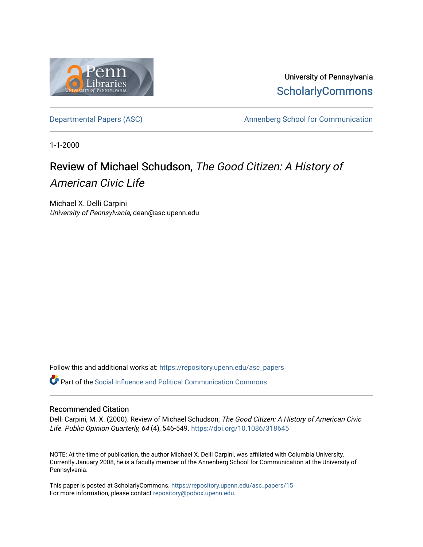

University of Pennsylvania **ScholarlyCommons** 

[Departmental Papers \(ASC\)](https://repository.upenn.edu/asc_papers) and a new Annenberg School for Communication

1-1-2000

# Review of Michael Schudson, The Good Citizen: A History of American Civic Life

Michael X. Delli Carpini University of Pennsylvania, dean@asc.upenn.edu

Follow this and additional works at: [https://repository.upenn.edu/asc\\_papers](https://repository.upenn.edu/asc_papers?utm_source=repository.upenn.edu%2Fasc_papers%2F15&utm_medium=PDF&utm_campaign=PDFCoverPages)

Part of the [Social Influence and Political Communication Commons](http://network.bepress.com/hgg/discipline/337?utm_source=repository.upenn.edu%2Fasc_papers%2F15&utm_medium=PDF&utm_campaign=PDFCoverPages) 

## Recommended Citation

Delli Carpini, M. X. (2000). Review of Michael Schudson, The Good Citizen: A History of American Civic Life. Public Opinion Quarterly, 64 (4), 546-549. <https://doi.org/10.1086/318645>

NOTE: At the time of publication, the author Michael X. Delli Carpini, was affiliated with Columbia University. Currently January 2008, he is a faculty member of the Annenberg School for Communication at the University of Pennsylvania.

This paper is posted at ScholarlyCommons. [https://repository.upenn.edu/asc\\_papers/15](https://repository.upenn.edu/asc_papers/15) For more information, please contact [repository@pobox.upenn.edu.](mailto:repository@pobox.upenn.edu)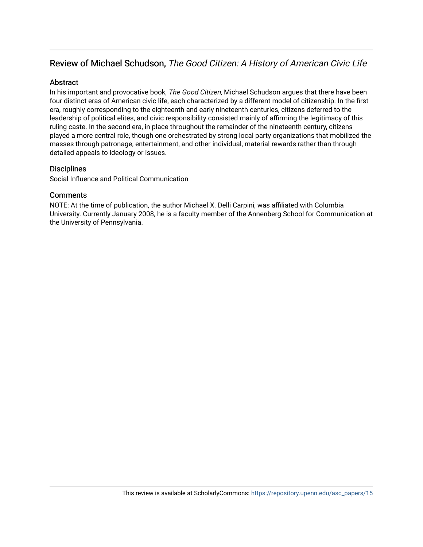# Review of Michael Schudson, The Good Citizen: A History of American Civic Life

# **Abstract**

In his important and provocative book, The Good Citizen, Michael Schudson argues that there have been four distinct eras of American civic life, each characterized by a different model of citizenship. In the first era, roughly corresponding to the eighteenth and early nineteenth centuries, citizens deferred to the leadership of political elites, and civic responsibility consisted mainly of affirming the legitimacy of this ruling caste. In the second era, in place throughout the remainder of the nineteenth century, citizens played a more central role, though one orchestrated by strong local party organizations that mobilized the masses through patronage, entertainment, and other individual, material rewards rather than through detailed appeals to ideology or issues.

# **Disciplines**

Social Influence and Political Communication

# **Comments**

NOTE: At the time of publication, the author Michael X. Delli Carpini, was affiliated with Columbia University. Currently January 2008, he is a faculty member of the Annenberg School for Communication at the University of Pennsylvania.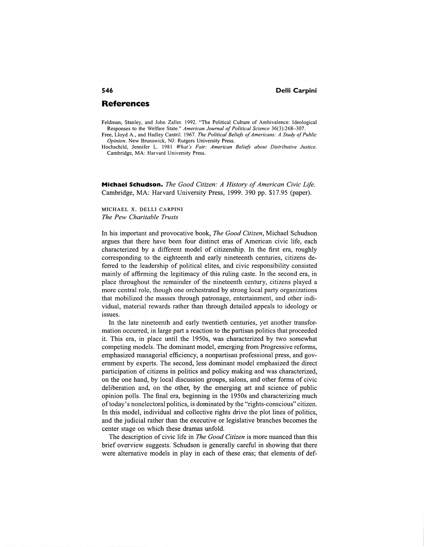#### **References**

Feldman, Stanley, and John Zaller. 1992. "The Political Culture of Ambivalence: Ideological Responses to the Welfare State." *American Journal of Political Science* 36(3):268-307.

Free, Lloyd A., and Hadley Cantril. 1967. *The Political Beliefs ofAmericans: A Study ofPublic Opinion.* New Brunswick, NJ: Rutgers University Press.

Hochschild, Jennifer L. 1981 *What's Fair: American Beliefs about Distributive Justice.* Cambridge, MA: Harvard University Press.

**Michael Schudson.** The Good Citizen: A History of American Civic Life. Cambridge, MA: Harvard University Press, 1999. 390 pp. \$17.95 (paper).

MICHAEL X. DELLI CARPINI *The Pew Charitable Trusts*

In his important and provocative book, *The Good Citizen,* Michael Schudson argues that there have been four distinct eras of American civic life, each characterized by a different model of citizenship. In the first era, roughly corresponding to the eighteenth and early nineteenth centuries, citizens deferred to the leadership of political elites, and civic responsibility consisted mainly of affirming the legitimacy of this ruling caste. In the second era, in place throughout the remainder of the nineteenth century, citizens played a more central role, though one orchestrated by strong local party organizations that mobilized the masses through patronage, entertainment, and other individual, material rewards rather than through detailed appeals to ideology or issues.

In the late nineteenth and early twentieth centuries, yet another transformation occurred, in large part a reaction to the partisan politics that proceeded it. This era, in place until the 1950s, was characterized by two somewhat competing models. The dominant model, emerging from Progressive reforms, emphasized managerial efficiency, a nonpartisan professional press, and government by experts. The second, less dominant model emphasized the direct participation of citizens in politics and policy making and was characterized, on the one hand, by local discussion groups, salons, and other forms of civic deliberation and, on the other, by the emerging art and science of public opinion polls. The final era, beginning in the 1950s and characterizing much oftoday's nonelectoral politics, is dominated by the "rights-conscious" citizen. In this model, individual and collective rights drive the plot lines of politics, and the judicial rather than the executive or legislative branches becomes the center stage on which these dramas unfold.

The description of civic life in *The Good Citizen* is more nuanced than this brief overview suggests. Schudson is generally careful in showing that there were alternative models in play in each of these eras; that elements of def-

### **546**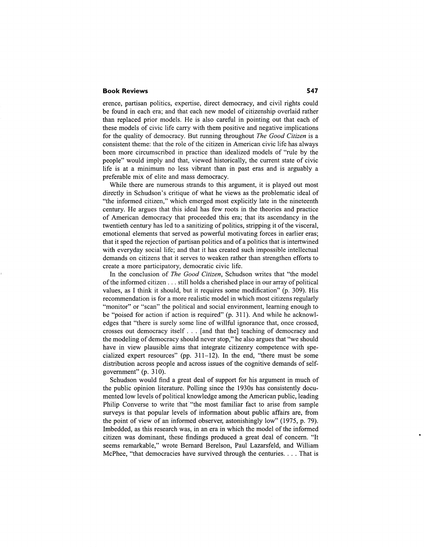#### **Book Reviews 547**

erence, partisan politics, expertise, direct democracy, and civil rights could be found in each era; and that each new model of citizenship overlaid rather than replaced prior models. He is also careful in pointing out that each of these models of civic life carry with them positive and negative implications for the quality of democracy. But running throughout *The Good Citizen* is a consistent theme: that the role of the citizen in American civic life has always been more circumscribed in practice than idealized models of "rule by the people" would imply and that, viewed historically, the current state of civic life is at a minimum no less vibrant than in past eras and is arguably a preferable mix of elite and mass democracy.

While there are numerous strands to this argument, it is played out most directly in Schudson's critique of what he views as the problematic ideal of "the informed citizen," which emerged most explicitly late in the nineteenth century. He argues that this ideal has few roots in the theories and practice of American democracy that proceeded this era; that its ascendancy in the twentieth century has led to a sanitizing of politics, stripping it of the visceral, emotional elements that served as powerful motivating forces in earlier eras; that it sped the rejection of partisan politics and of a politics that is intertwined with everyday social life; and that it has created such impossible intellectual demands on citizens that it serves to weaken rather than strengthen efforts to create a more participatory, democratic civic life.

In the conclusion of *The Good Citizen,* Schudson writes that "the model of the informed citizen  $\dots$  still holds a cherished place in our array of political values, as I think it should, but it requires some modification" (p. 309). His recommendation is for a more realistic model in which most citizens regularly "monitor" or "scan" the political and social environment, learning enough to be "poised for action if action is required" (p. 311). And while he acknowledges that "there is surely some line of willful ignorance that, once crossed, crosses out democracy itself . . . [and that the] teaching of democracy and the modeling of democracy should never stop," he also argues that "we should have in view plausible aims that integrate citizenry competence with specialized expert resources" (pp. 311-12). In the end, "there must be some distribution across people and across issues of the cognitive demands of selfgovernment" (p. 310).

Schudson would find a great deal of support for his argument in much of the public opinion literature. Polling since the 1930s has consistently documented low levels of political knowledge among the American public, leading Philip Converse to write that "the most familiar fact to arise from sample surveys is that popular levels of information about public affairs are, from the point of view of an informed observer, astonishingly low" (1975, p. 79). Imbedded, as this research was, in an era in which the model of the informed citizen was dominant, these findings produced a great deal of concern. "It seems remarkable," wrote Bernard Berelson, Paul Lazarsfeld, and William McPhee, "that democracies have survived through the centuries.... That is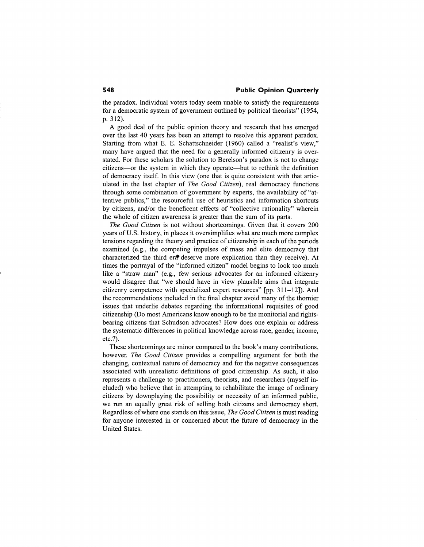the paradox. Individual voters today seem unable to satisfy the requirements for a democratic system of government outlined by political theorists" (1954, p. 312).

A good deal of the public opinion theory and research that has emerged over the last 40 years has been an attempt to resolve this apparent paradox. Starting from what E. E. Schattschneider (1960) called a "realist's view," many have argued that the need for a generally informed citizenry is overstated. For these scholars the solution to Berelson's paradox is not to change citizens-or the system in which they operate-but to rethink the definition of democracy itself. In this view (one that is quite consistent with that articulated in the last chapter of *The Good Citizen),* real democracy functions through some combination of government by experts, the availability of "attentive publics," the resourceful use of heuristics and information shortcuts by citizens, and/or the beneficent effects of "collective rationality" wherein the whole of citizen awareness is greater than the sum of its parts.

*The Good Citizen* is not without shortcomings. Given that it covers 200 years of U.S. history, in places it oversimplifies what are much more complex tensions regarding the theory and practice of citizenship in each of the periods examined (e.g., the competing impulses of mass and elite democracy that characterized the third er $\mathcal *$  deserve more explication than they receive). At times the portrayal of the "informed citizen" model begins to look too much like a "straw man" (e.g., few serious advocates for an informed citizenry would disagree that "we should have in view plausible aims that integrate citizenry competence with specialized expert resources" [pp. 311-12]). And the recommendations included in the final chapter avoid many of the thornier issues that underlie debates regarding the informational requisites of good citizenship (Do most Americans know enough to be the monitorial and rightsbearing citizens that Schudson advocates? How does one explain or address the systematic differences in political knowledge across race, gender, income, etc.?).

These shortcomings are minor compared to the book's many contributions, however. *The Good Citizen* provides a compelling argument for both the changing, contextual nature of democracy and for the negative consequences associated with unrealistic definitions of good citizenship. As such, it also represents a challenge to practitioners, theorists, and researchers (myself included) who believe that in attempting to rehabilitate the image of ordinary citizens by downplaying the possibility or necessity of an informed public, we run an equally great risk of selling both citizens and democracy short. Regardless ofwhere one stands on this issue, *The Good Citizen* is must reading for anyone interested in or concerned about the future of democracy in the United States.